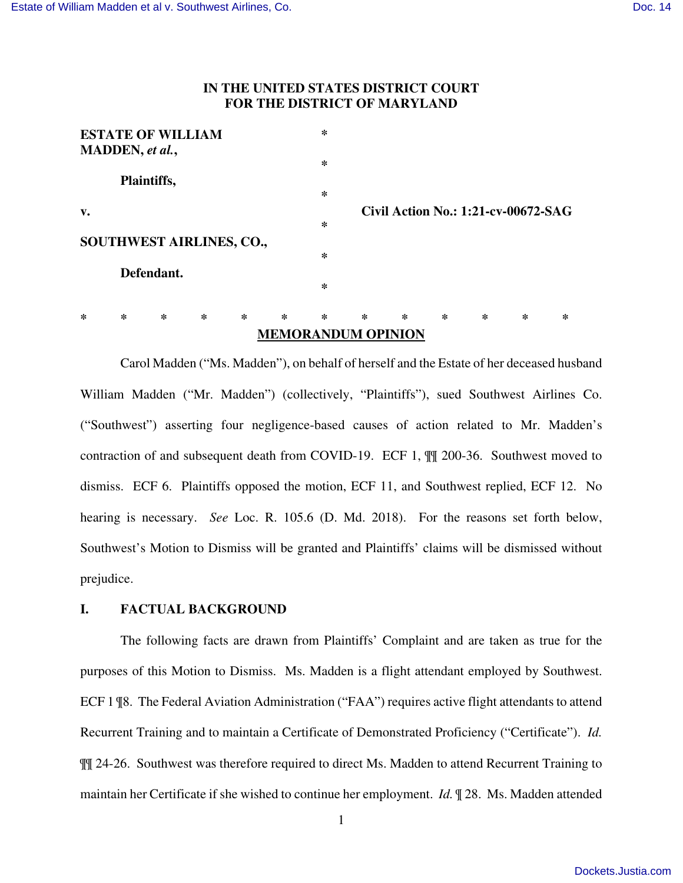# **IN THE UNITED STATES DISTRICT COURT FOR THE DISTRICT OF MARYLAND**

| <b>MEMORANDUM OPINION</b> |                          |        |                                 |        |        |        |        |        |        |                                            |        |   |
|---------------------------|--------------------------|--------|---------------------------------|--------|--------|--------|--------|--------|--------|--------------------------------------------|--------|---|
| ∗                         | $\ast$                   | $\ast$ | $\ast$                          | $\ast$ | $\ast$ | $\ast$ | $\ast$ | $\ast$ | $\ast$ | $\ast$                                     | $\ast$ | ∗ |
|                           |                          |        |                                 |        |        | $\ast$ |        |        |        |                                            |        |   |
| Defendant.                |                          |        |                                 |        |        |        |        |        |        |                                            |        |   |
|                           |                          |        | <b>SOUTHWEST AIRLINES, CO.,</b> |        |        | ∗      |        |        |        |                                            |        |   |
|                           |                          |        |                                 |        |        | $\ast$ |        |        |        |                                            |        |   |
| v.                        |                          |        |                                 |        |        |        |        |        |        | <b>Civil Action No.: 1:21-cv-00672-SAG</b> |        |   |
|                           |                          |        |                                 |        |        | ∗      |        |        |        |                                            |        |   |
| Plaintiffs,               |                          |        |                                 |        |        |        |        |        |        |                                            |        |   |
|                           |                          |        |                                 |        |        | ∗      |        |        |        |                                            |        |   |
|                           | MADDEN, et al.,          |        |                                 |        |        |        |        |        |        |                                            |        |   |
|                           | <b>ESTATE OF WILLIAM</b> |        |                                 |        |        | ∗      |        |        |        |                                            |        |   |

Carol Madden ("Ms. Madden"), on behalf of herself and the Estate of her deceased husband William Madden ("Mr. Madden") (collectively, "Plaintiffs"), sued Southwest Airlines Co. ("Southwest") asserting four negligence-based causes of action related to Mr. Madden's contraction of and subsequent death from COVID-19. ECF 1, ¶¶ 200-36. Southwest moved to dismiss. ECF 6. Plaintiffs opposed the motion, ECF 11, and Southwest replied, ECF 12. No hearing is necessary. *See* Loc. R. 105.6 (D. Md. 2018). For the reasons set forth below, Southwest's Motion to Dismiss will be granted and Plaintiffs' claims will be dismissed without prejudice.

## **I. FACTUAL BACKGROUND**

The following facts are drawn from Plaintiffs' Complaint and are taken as true for the purposes of this Motion to Dismiss. Ms. Madden is a flight attendant employed by Southwest. ECF 1 ¶8. The Federal Aviation Administration ("FAA") requires active flight attendants to attend Recurrent Training and to maintain a Certificate of Demonstrated Proficiency ("Certificate"). *Id.* ¶¶ 24-26. Southwest was therefore required to direct Ms. Madden to attend Recurrent Training to maintain her Certificate if she wished to continue her employment. *Id.* ¶ 28. Ms. Madden attended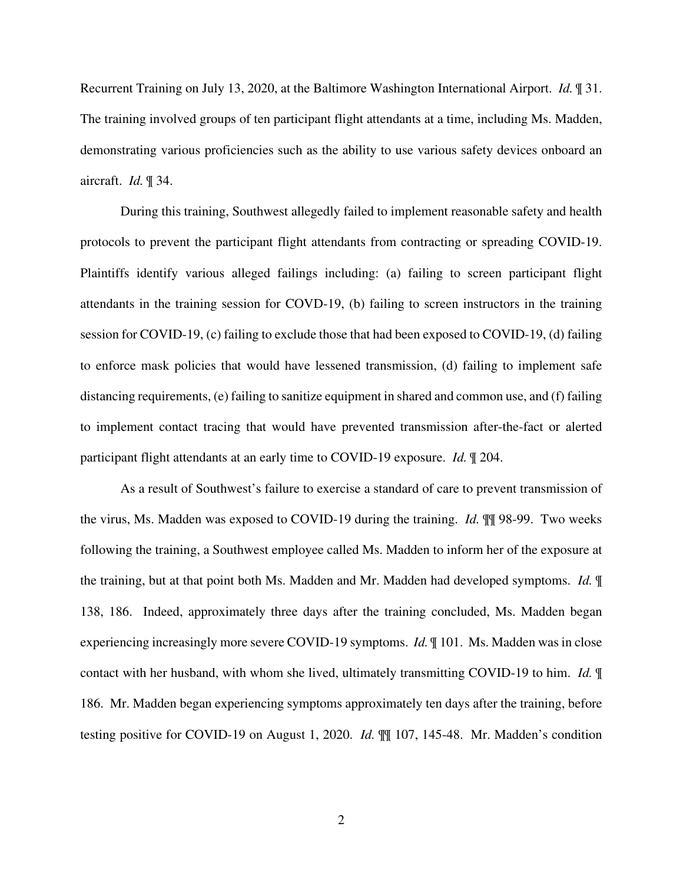Recurrent Training on July 13, 2020, at the Baltimore Washington International Airport. *Id.* ¶ 31. The training involved groups of ten participant flight attendants at a time, including Ms. Madden, demonstrating various proficiencies such as the ability to use various safety devices onboard an aircraft. *Id.* ¶ 34.

During this training, Southwest allegedly failed to implement reasonable safety and health protocols to prevent the participant flight attendants from contracting or spreading COVID-19. Plaintiffs identify various alleged failings including: (a) failing to screen participant flight attendants in the training session for COVD-19, (b) failing to screen instructors in the training session for COVID-19, (c) failing to exclude those that had been exposed to COVID-19, (d) failing to enforce mask policies that would have lessened transmission, (d) failing to implement safe distancing requirements, (e) failing to sanitize equipment in shared and common use, and (f) failing to implement contact tracing that would have prevented transmission after-the-fact or alerted participant flight attendants at an early time to COVID-19 exposure. *Id.* ¶ 204.

As a result of Southwest's failure to exercise a standard of care to prevent transmission of the virus, Ms. Madden was exposed to COVID-19 during the training. *Id.* ¶¶ 98-99. Two weeks following the training, a Southwest employee called Ms. Madden to inform her of the exposure at the training, but at that point both Ms. Madden and Mr. Madden had developed symptoms. *Id.* ¶ 138, 186. Indeed, approximately three days after the training concluded, Ms. Madden began experiencing increasingly more severe COVID-19 symptoms. *Id.* ¶ 101. Ms. Madden was in close contact with her husband, with whom she lived, ultimately transmitting COVID-19 to him. *Id.* ¶ 186. Mr. Madden began experiencing symptoms approximately ten days after the training, before testing positive for COVID-19 on August 1, 2020. *Id.* ¶¶ 107, 145-48. Mr. Madden's condition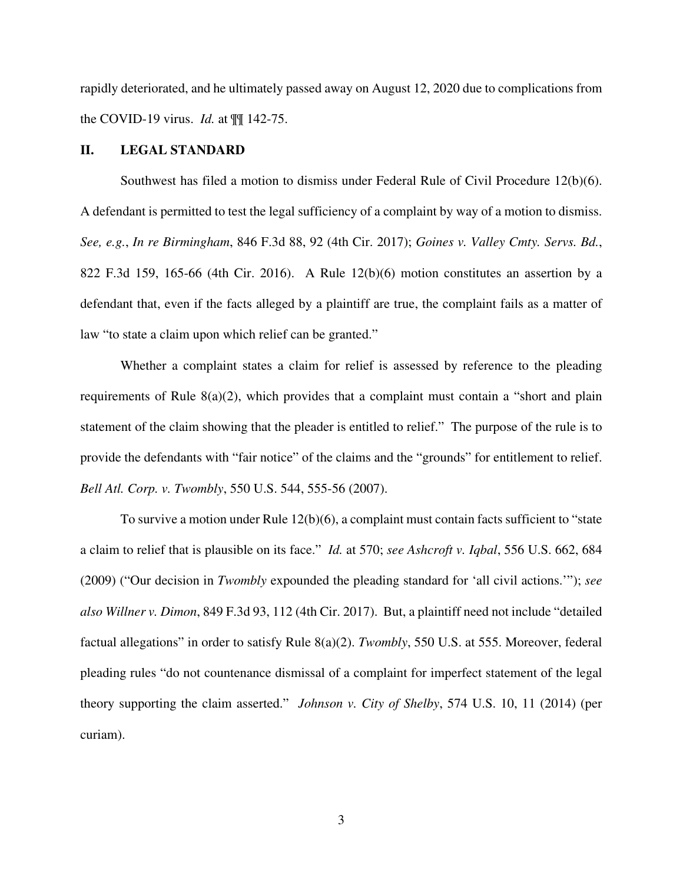rapidly deteriorated, and he ultimately passed away on August 12, 2020 due to complications from the COVID-19 virus. *Id.* at ¶¶ 142-75.

## **II. LEGAL STANDARD**

Southwest has filed a motion to dismiss under Federal Rule of Civil Procedure 12(b)(6). A defendant is permitted to test the legal sufficiency of a complaint by way of a motion to dismiss. *See, e.g.*, *In re Birmingham*, 846 F.3d 88, 92 (4th Cir. 2017); *Goines v. Valley Cmty. Servs. Bd.*, 822 F.3d 159, 165-66 (4th Cir. 2016). A Rule 12(b)(6) motion constitutes an assertion by a defendant that, even if the facts alleged by a plaintiff are true, the complaint fails as a matter of law "to state a claim upon which relief can be granted."

Whether a complaint states a claim for relief is assessed by reference to the pleading requirements of Rule 8(a)(2), which provides that a complaint must contain a "short and plain statement of the claim showing that the pleader is entitled to relief." The purpose of the rule is to provide the defendants with "fair notice" of the claims and the "grounds" for entitlement to relief. *Bell Atl. Corp. v. Twombly*, 550 U.S. 544, 555-56 (2007).

To survive a motion under Rule 12(b)(6), a complaint must contain facts sufficient to "state a claim to relief that is plausible on its face." *Id.* at 570; *see Ashcroft v. Iqbal*, 556 U.S. 662, 684 (2009) ("Our decision in *Twombly* expounded the pleading standard for 'all civil actions.'"); *see also Willner v. Dimon*, 849 F.3d 93, 112 (4th Cir. 2017). But, a plaintiff need not include "detailed factual allegations" in order to satisfy Rule 8(a)(2). *Twombly*, 550 U.S. at 555. Moreover, federal pleading rules "do not countenance dismissal of a complaint for imperfect statement of the legal theory supporting the claim asserted." *Johnson v. City of Shelby*, 574 U.S. 10, 11 (2014) (per curiam).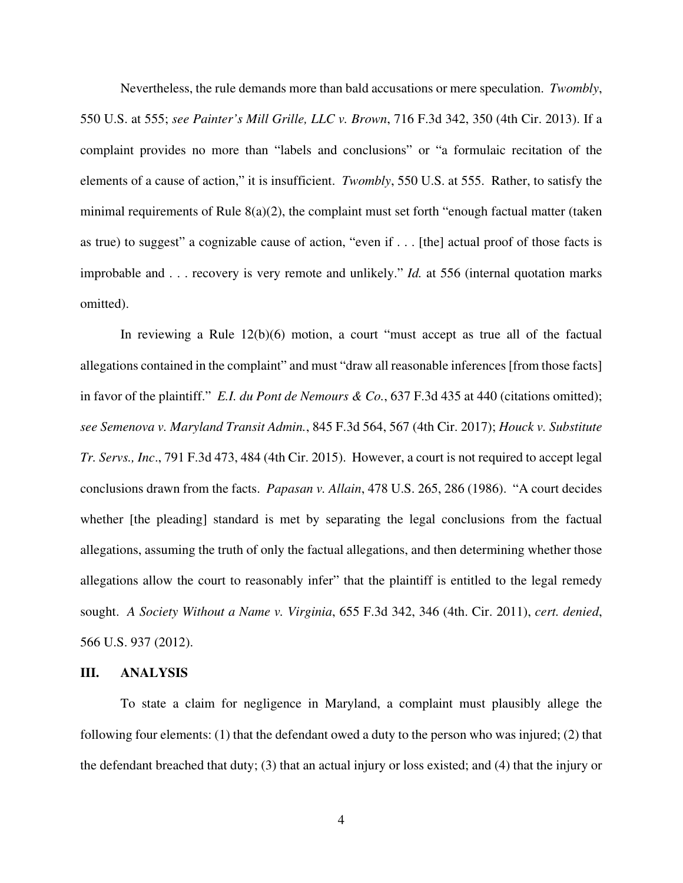Nevertheless, the rule demands more than bald accusations or mere speculation. *Twombly*, 550 U.S. at 555; *see Painter's Mill Grille, LLC v. Brown*, 716 F.3d 342, 350 (4th Cir. 2013). If a complaint provides no more than "labels and conclusions" or "a formulaic recitation of the elements of a cause of action," it is insufficient. *Twombly*, 550 U.S. at 555. Rather, to satisfy the minimal requirements of Rule  $8(a)(2)$ , the complaint must set forth "enough factual matter (taken as true) to suggest" a cognizable cause of action, "even if . . . [the] actual proof of those facts is improbable and . . . recovery is very remote and unlikely." *Id.* at 556 (internal quotation marks omitted).

In reviewing a Rule 12(b)(6) motion, a court "must accept as true all of the factual allegations contained in the complaint" and must "draw all reasonable inferences [from those facts] in favor of the plaintiff." *E.I. du Pont de Nemours & Co.*, 637 F.3d 435 at 440 (citations omitted); *see Semenova v. Maryland Transit Admin.*, 845 F.3d 564, 567 (4th Cir. 2017); *Houck v. Substitute Tr. Servs., Inc*., 791 F.3d 473, 484 (4th Cir. 2015). However, a court is not required to accept legal conclusions drawn from the facts. *Papasan v. Allain*, 478 U.S. 265, 286 (1986). "A court decides whether [the pleading] standard is met by separating the legal conclusions from the factual allegations, assuming the truth of only the factual allegations, and then determining whether those allegations allow the court to reasonably infer" that the plaintiff is entitled to the legal remedy sought. *A Society Without a Name v. Virginia*, 655 F.3d 342, 346 (4th. Cir. 2011), *cert. denied*, 566 U.S. 937 (2012).

### **III. ANALYSIS**

To state a claim for negligence in Maryland, a complaint must plausibly allege the following four elements: (1) that the defendant owed a duty to the person who was injured; (2) that the defendant breached that duty; (3) that an actual injury or loss existed; and (4) that the injury or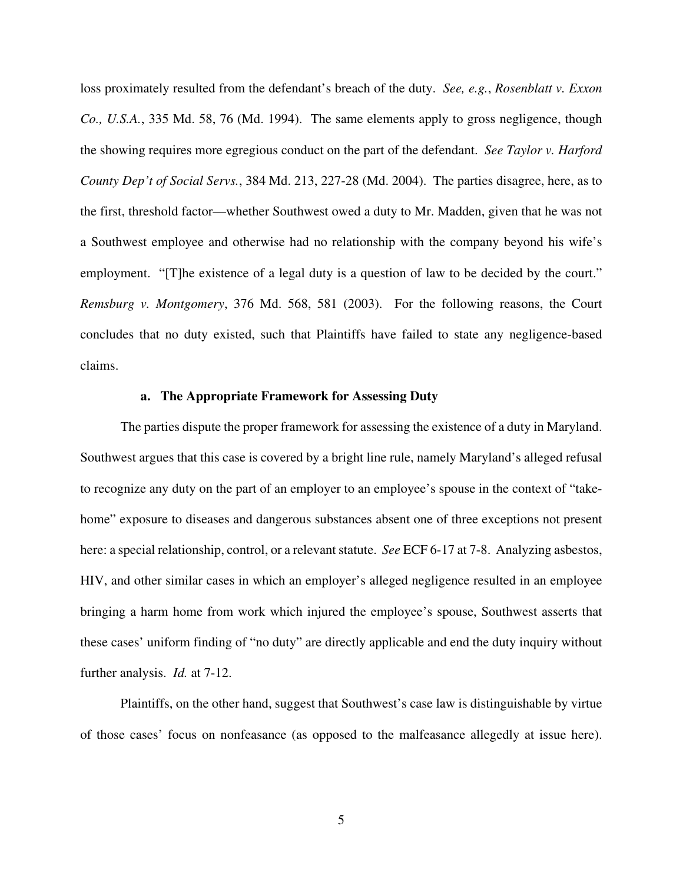loss proximately resulted from the defendant's breach of the duty. *See, e.g.*, *Rosenblatt v. Exxon Co., U.S.A.*, 335 Md. 58, 76 (Md. 1994). The same elements apply to gross negligence, though the showing requires more egregious conduct on the part of the defendant. *See Taylor v. Harford County Dep't of Social Servs.*, 384 Md. 213, 227-28 (Md. 2004). The parties disagree, here, as to the first, threshold factor—whether Southwest owed a duty to Mr. Madden, given that he was not a Southwest employee and otherwise had no relationship with the company beyond his wife's employment. "[T]he existence of a legal duty is a question of law to be decided by the court." *Remsburg v. Montgomery*, 376 Md. 568, 581 (2003). For the following reasons, the Court concludes that no duty existed, such that Plaintiffs have failed to state any negligence-based claims.

## **a. The Appropriate Framework for Assessing Duty**

The parties dispute the proper framework for assessing the existence of a duty in Maryland. Southwest argues that this case is covered by a bright line rule, namely Maryland's alleged refusal to recognize any duty on the part of an employer to an employee's spouse in the context of "takehome" exposure to diseases and dangerous substances absent one of three exceptions not present here: a special relationship, control, or a relevant statute. *See* ECF 6-17 at 7-8. Analyzing asbestos, HIV, and other similar cases in which an employer's alleged negligence resulted in an employee bringing a harm home from work which injured the employee's spouse, Southwest asserts that these cases' uniform finding of "no duty" are directly applicable and end the duty inquiry without further analysis. *Id.* at 7-12.

Plaintiffs, on the other hand, suggest that Southwest's case law is distinguishable by virtue of those cases' focus on nonfeasance (as opposed to the malfeasance allegedly at issue here).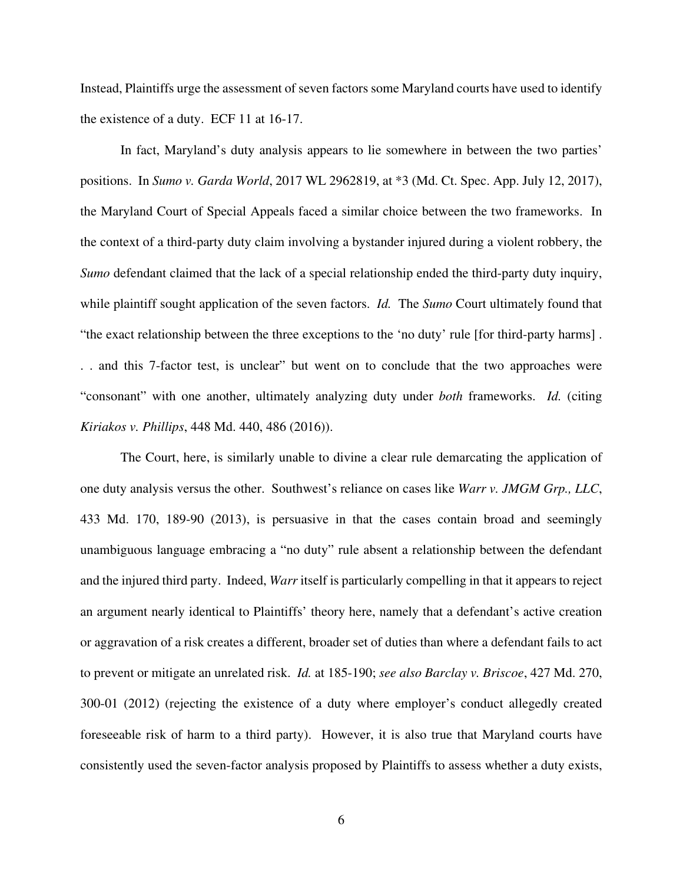Instead, Plaintiffs urge the assessment of seven factors some Maryland courts have used to identify the existence of a duty. ECF 11 at 16-17.

In fact, Maryland's duty analysis appears to lie somewhere in between the two parties' positions. In *Sumo v. Garda World*, 2017 WL 2962819, at \*3 (Md. Ct. Spec. App. July 12, 2017), the Maryland Court of Special Appeals faced a similar choice between the two frameworks. In the context of a third-party duty claim involving a bystander injured during a violent robbery, the *Sumo* defendant claimed that the lack of a special relationship ended the third-party duty inquiry, while plaintiff sought application of the seven factors. *Id.* The *Sumo* Court ultimately found that "the exact relationship between the three exceptions to the 'no duty' rule [for third-party harms] . . . and this 7-factor test, is unclear" but went on to conclude that the two approaches were "consonant" with one another, ultimately analyzing duty under *both* frameworks. *Id.* (citing *Kiriakos v. Phillips*, 448 Md. 440, 486 (2016)).

The Court, here, is similarly unable to divine a clear rule demarcating the application of one duty analysis versus the other. Southwest's reliance on cases like *Warr v. JMGM Grp., LLC*, 433 Md. 170, 189-90 (2013), is persuasive in that the cases contain broad and seemingly unambiguous language embracing a "no duty" rule absent a relationship between the defendant and the injured third party. Indeed, *Warr* itself is particularly compelling in that it appears to reject an argument nearly identical to Plaintiffs' theory here, namely that a defendant's active creation or aggravation of a risk creates a different, broader set of duties than where a defendant fails to act to prevent or mitigate an unrelated risk. *Id.* at 185-190; *see also Barclay v. Briscoe*, 427 Md. 270, 300-01 (2012) (rejecting the existence of a duty where employer's conduct allegedly created foreseeable risk of harm to a third party). However, it is also true that Maryland courts have consistently used the seven-factor analysis proposed by Plaintiffs to assess whether a duty exists,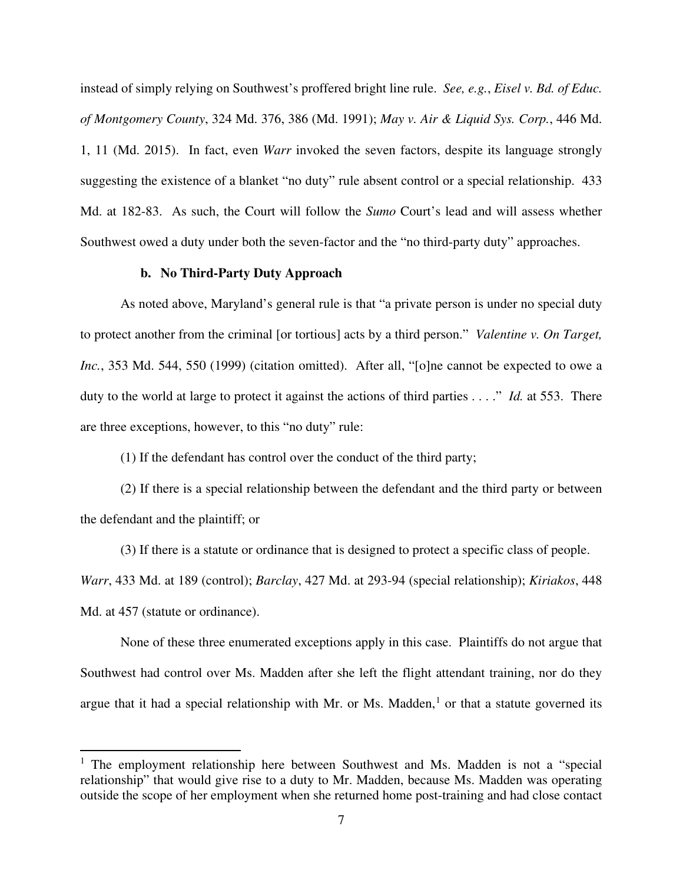instead of simply relying on Southwest's proffered bright line rule. *See, e.g.*, *Eisel v. Bd. of Educ. of Montgomery County*, 324 Md. 376, 386 (Md. 1991); *May v. Air & Liquid Sys. Corp.*, 446 Md. 1, 11 (Md. 2015). In fact, even *Warr* invoked the seven factors, despite its language strongly suggesting the existence of a blanket "no duty" rule absent control or a special relationship. 433 Md. at 182-83. As such, the Court will follow the *Sumo* Court's lead and will assess whether Southwest owed a duty under both the seven-factor and the "no third-party duty" approaches.

## **b. No Third-Party Duty Approach**

As noted above, Maryland's general rule is that "a private person is under no special duty to protect another from the criminal [or tortious] acts by a third person." *Valentine v. On Target, Inc.*, 353 Md. 544, 550 (1999) (citation omitted). After all, "[o]ne cannot be expected to owe a duty to the world at large to protect it against the actions of third parties . . . ." *Id.* at 553. There are three exceptions, however, to this "no duty" rule:

(1) If the defendant has control over the conduct of the third party;

(2) If there is a special relationship between the defendant and the third party or between the defendant and the plaintiff; or

(3) If there is a statute or ordinance that is designed to protect a specific class of people. *Warr*, 433 Md. at 189 (control); *Barclay*, 427 Md. at 293-94 (special relationship); *Kiriakos*, 448

Md. at 457 (statute or ordinance).

None of these three enumerated exceptions apply in this case. Plaintiffs do not argue that Southwest had control over Ms. Madden after she left the flight attendant training, nor do they argue that it had a special relationship with Mr. or Ms. Madden, $<sup>1</sup>$  $<sup>1</sup>$  $<sup>1</sup>$  or that a statute governed its</sup>

<span id="page-6-0"></span><sup>&</sup>lt;sup>1</sup> The employment relationship here between Southwest and Ms. Madden is not a "special relationship" that would give rise to a duty to Mr. Madden, because Ms. Madden was operating outside the scope of her employment when she returned home post-training and had close contact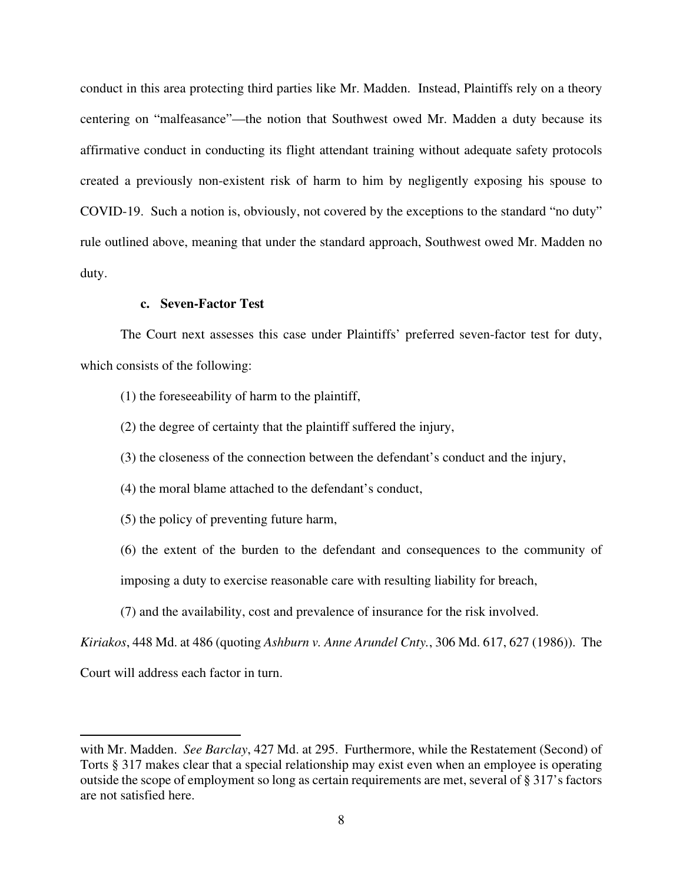conduct in this area protecting third parties like Mr. Madden. Instead, Plaintiffs rely on a theory centering on "malfeasance"—the notion that Southwest owed Mr. Madden a duty because its affirmative conduct in conducting its flight attendant training without adequate safety protocols created a previously non-existent risk of harm to him by negligently exposing his spouse to COVID-19. Such a notion is, obviously, not covered by the exceptions to the standard "no duty" rule outlined above, meaning that under the standard approach, Southwest owed Mr. Madden no duty.

## **c. Seven-Factor Test**

The Court next assesses this case under Plaintiffs' preferred seven-factor test for duty, which consists of the following:

(1) the foreseeability of harm to the plaintiff,

(2) the degree of certainty that the plaintiff suffered the injury,

(3) the closeness of the connection between the defendant's conduct and the injury,

(4) the moral blame attached to the defendant's conduct,

(5) the policy of preventing future harm,

(6) the extent of the burden to the defendant and consequences to the community of

imposing a duty to exercise reasonable care with resulting liability for breach,

(7) and the availability, cost and prevalence of insurance for the risk involved.

*Kiriakos*, 448 Md. at 486 (quoting *Ashburn v. Anne Arundel Cnty.*, 306 Md. 617, 627 (1986)). The

Court will address each factor in turn.

with Mr. Madden. *See Barclay*, 427 Md. at 295. Furthermore, while the Restatement (Second) of Torts § 317 makes clear that a special relationship may exist even when an employee is operating outside the scope of employment so long as certain requirements are met, several of § 317's factors are not satisfied here.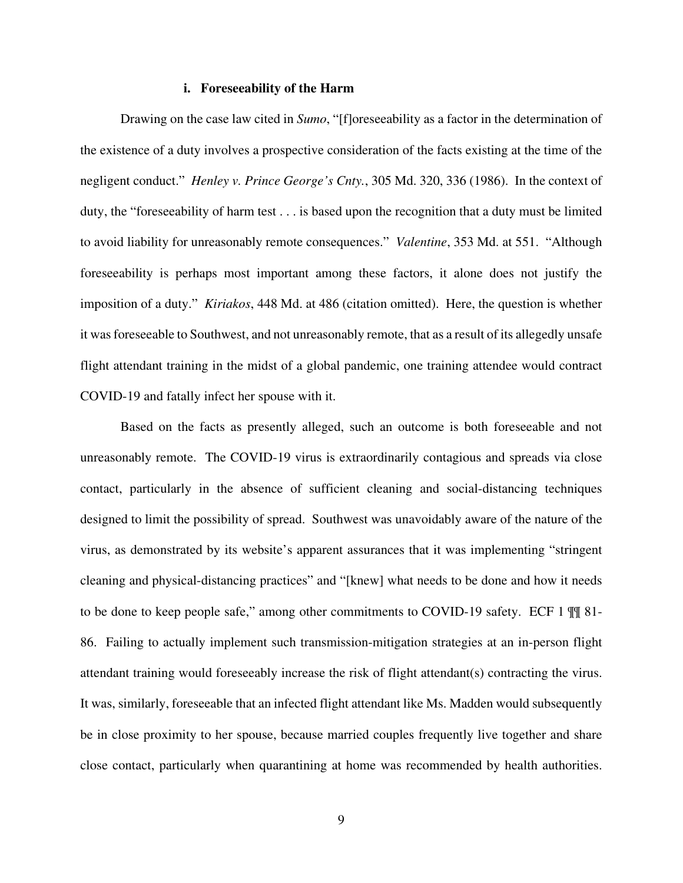#### **i. Foreseeability of the Harm**

Drawing on the case law cited in *Sumo*, "[f]oreseeability as a factor in the determination of the existence of a duty involves a prospective consideration of the facts existing at the time of the negligent conduct." *Henley v. Prince George's Cnty.*, 305 Md. 320, 336 (1986). In the context of duty, the "foreseeability of harm test . . . is based upon the recognition that a duty must be limited to avoid liability for unreasonably remote consequences." *Valentine*, 353 Md. at 551. "Although foreseeability is perhaps most important among these factors, it alone does not justify the imposition of a duty." *Kiriakos*, 448 Md. at 486 (citation omitted). Here, the question is whether it was foreseeable to Southwest, and not unreasonably remote, that as a result of its allegedly unsafe flight attendant training in the midst of a global pandemic, one training attendee would contract COVID-19 and fatally infect her spouse with it.

Based on the facts as presently alleged, such an outcome is both foreseeable and not unreasonably remote. The COVID-19 virus is extraordinarily contagious and spreads via close contact, particularly in the absence of sufficient cleaning and social-distancing techniques designed to limit the possibility of spread. Southwest was unavoidably aware of the nature of the virus, as demonstrated by its website's apparent assurances that it was implementing "stringent cleaning and physical-distancing practices" and "[knew] what needs to be done and how it needs to be done to keep people safe," among other commitments to COVID-19 safety. ECF 1 ¶¶ 81- 86. Failing to actually implement such transmission-mitigation strategies at an in-person flight attendant training would foreseeably increase the risk of flight attendant(s) contracting the virus. It was, similarly, foreseeable that an infected flight attendant like Ms. Madden would subsequently be in close proximity to her spouse, because married couples frequently live together and share close contact, particularly when quarantining at home was recommended by health authorities.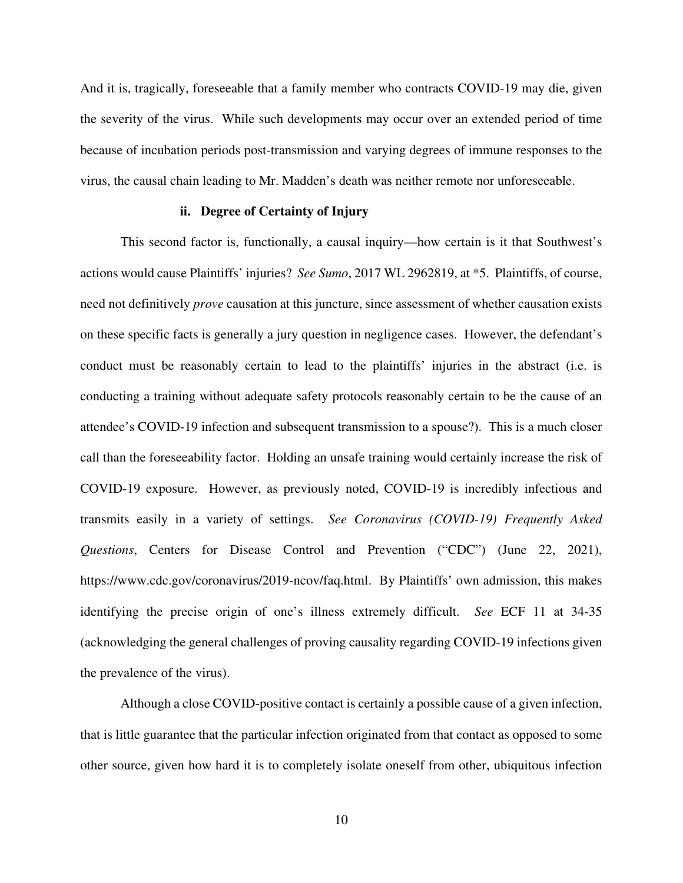And it is, tragically, foreseeable that a family member who contracts COVID-19 may die, given the severity of the virus. While such developments may occur over an extended period of time because of incubation periods post-transmission and varying degrees of immune responses to the virus, the causal chain leading to Mr. Madden's death was neither remote nor unforeseeable.

#### **ii. Degree of Certainty of Injury**

This second factor is, functionally, a causal inquiry—how certain is it that Southwest's actions would cause Plaintiffs' injuries? *See Sumo*, 2017 WL 2962819, at \*5. Plaintiffs, of course, need not definitively *prove* causation at this juncture, since assessment of whether causation exists on these specific facts is generally a jury question in negligence cases. However, the defendant's conduct must be reasonably certain to lead to the plaintiffs' injuries in the abstract (i.e. is conducting a training without adequate safety protocols reasonably certain to be the cause of an attendee's COVID-19 infection and subsequent transmission to a spouse?). This is a much closer call than the foreseeability factor. Holding an unsafe training would certainly increase the risk of COVID-19 exposure. However, as previously noted, COVID-19 is incredibly infectious and transmits easily in a variety of settings. *See Coronavirus (COVID-19) Frequently Asked Questions*, Centers for Disease Control and Prevention ("CDC") (June 22, 2021), https://www.cdc.gov/coronavirus/2019-ncov/faq.html. By Plaintiffs' own admission, this makes identifying the precise origin of one's illness extremely difficult. *See* ECF 11 at 34-35 (acknowledging the general challenges of proving causality regarding COVID-19 infections given the prevalence of the virus).

Although a close COVID-positive contact is certainly a possible cause of a given infection, that is little guarantee that the particular infection originated from that contact as opposed to some other source, given how hard it is to completely isolate oneself from other, ubiquitous infection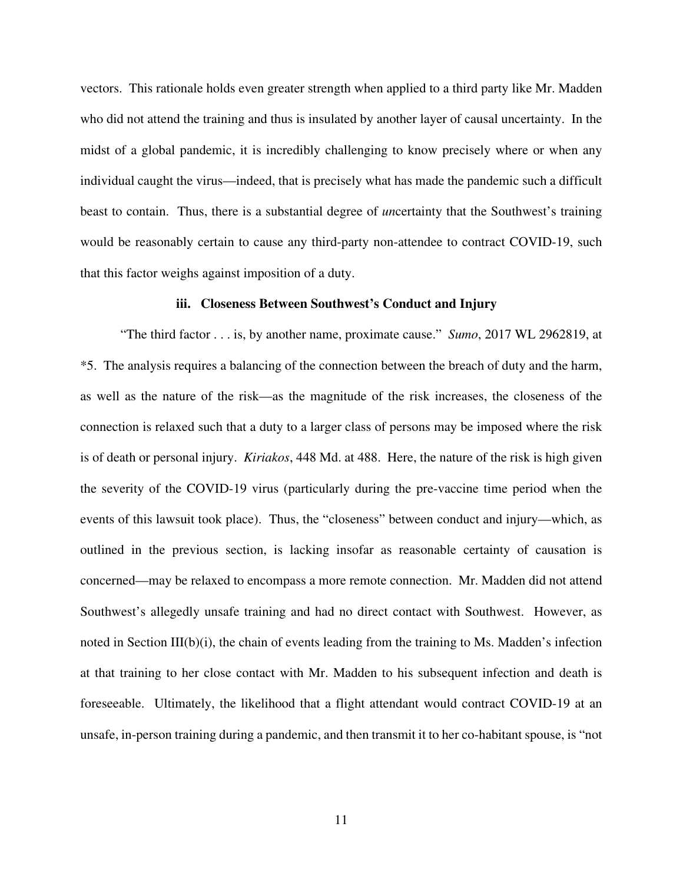vectors. This rationale holds even greater strength when applied to a third party like Mr. Madden who did not attend the training and thus is insulated by another layer of causal uncertainty. In the midst of a global pandemic, it is incredibly challenging to know precisely where or when any individual caught the virus—indeed, that is precisely what has made the pandemic such a difficult beast to contain. Thus, there is a substantial degree of *un*certainty that the Southwest's training would be reasonably certain to cause any third-party non-attendee to contract COVID-19, such that this factor weighs against imposition of a duty.

### **iii. Closeness Between Southwest's Conduct and Injury**

"The third factor . . . is, by another name, proximate cause." *Sumo*, 2017 WL 2962819, at \*5. The analysis requires a balancing of the connection between the breach of duty and the harm, as well as the nature of the risk—as the magnitude of the risk increases, the closeness of the connection is relaxed such that a duty to a larger class of persons may be imposed where the risk is of death or personal injury. *Kiriakos*, 448 Md. at 488. Here, the nature of the risk is high given the severity of the COVID-19 virus (particularly during the pre-vaccine time period when the events of this lawsuit took place). Thus, the "closeness" between conduct and injury—which, as outlined in the previous section, is lacking insofar as reasonable certainty of causation is concerned—may be relaxed to encompass a more remote connection. Mr. Madden did not attend Southwest's allegedly unsafe training and had no direct contact with Southwest. However, as noted in Section III(b)(i), the chain of events leading from the training to Ms. Madden's infection at that training to her close contact with Mr. Madden to his subsequent infection and death is foreseeable. Ultimately, the likelihood that a flight attendant would contract COVID-19 at an unsafe, in-person training during a pandemic, and then transmit it to her co-habitant spouse, is "not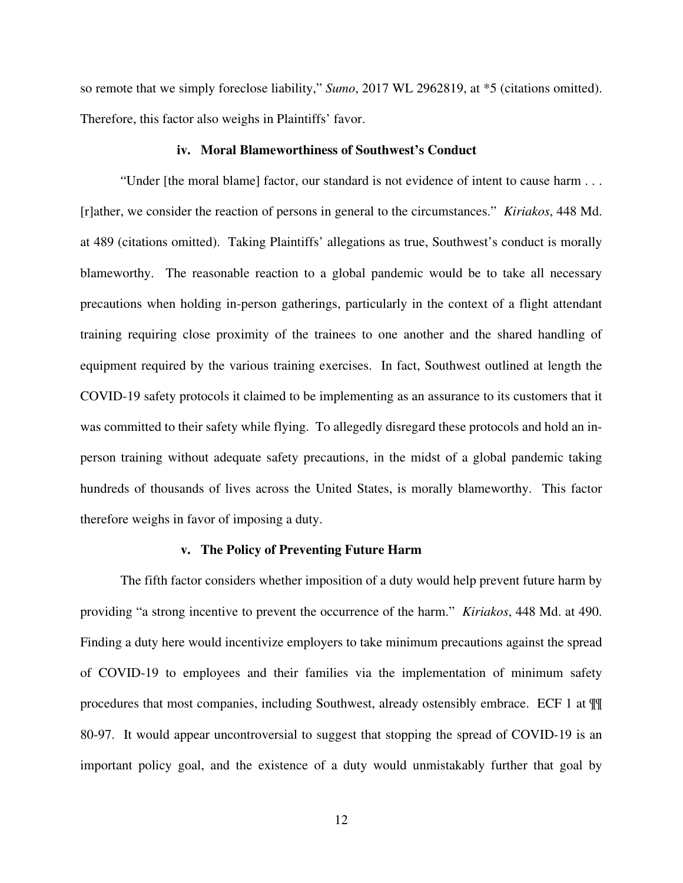so remote that we simply foreclose liability," *Sumo*, 2017 WL 2962819, at \*5 (citations omitted). Therefore, this factor also weighs in Plaintiffs' favor.

### **iv. Moral Blameworthiness of Southwest's Conduct**

"Under [the moral blame] factor, our standard is not evidence of intent to cause harm . . . [r]ather, we consider the reaction of persons in general to the circumstances." *Kiriakos*, 448 Md. at 489 (citations omitted). Taking Plaintiffs' allegations as true, Southwest's conduct is morally blameworthy. The reasonable reaction to a global pandemic would be to take all necessary precautions when holding in-person gatherings, particularly in the context of a flight attendant training requiring close proximity of the trainees to one another and the shared handling of equipment required by the various training exercises. In fact, Southwest outlined at length the COVID-19 safety protocols it claimed to be implementing as an assurance to its customers that it was committed to their safety while flying. To allegedly disregard these protocols and hold an inperson training without adequate safety precautions, in the midst of a global pandemic taking hundreds of thousands of lives across the United States, is morally blameworthy. This factor therefore weighs in favor of imposing a duty.

### **v. The Policy of Preventing Future Harm**

The fifth factor considers whether imposition of a duty would help prevent future harm by providing "a strong incentive to prevent the occurrence of the harm." *Kiriakos*, 448 Md. at 490. Finding a duty here would incentivize employers to take minimum precautions against the spread of COVID-19 to employees and their families via the implementation of minimum safety procedures that most companies, including Southwest, already ostensibly embrace. ECF 1 at ¶¶ 80-97. It would appear uncontroversial to suggest that stopping the spread of COVID-19 is an important policy goal, and the existence of a duty would unmistakably further that goal by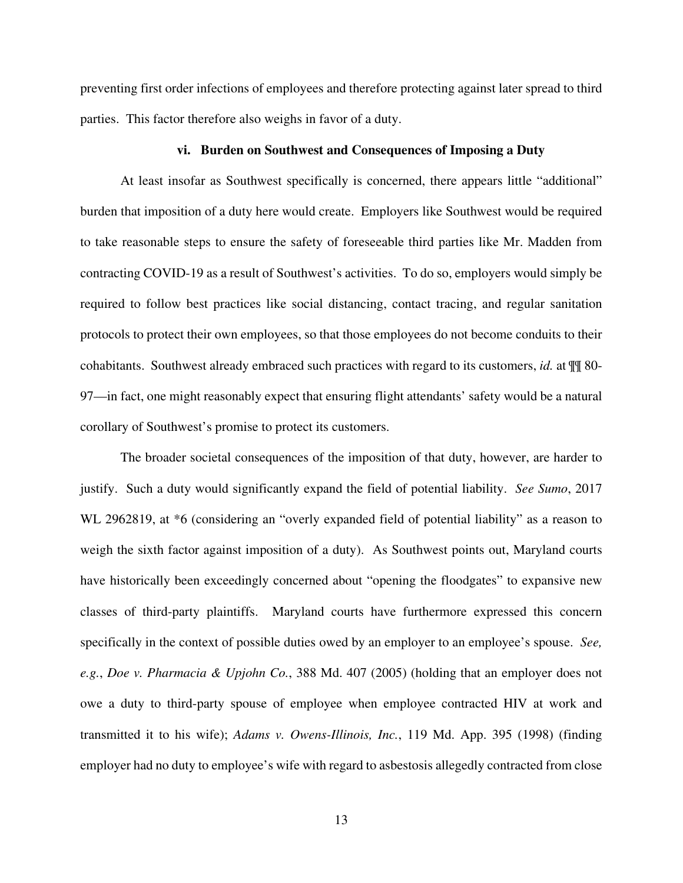preventing first order infections of employees and therefore protecting against later spread to third parties. This factor therefore also weighs in favor of a duty.

### **vi. Burden on Southwest and Consequences of Imposing a Duty**

At least insofar as Southwest specifically is concerned, there appears little "additional" burden that imposition of a duty here would create. Employers like Southwest would be required to take reasonable steps to ensure the safety of foreseeable third parties like Mr. Madden from contracting COVID-19 as a result of Southwest's activities. To do so, employers would simply be required to follow best practices like social distancing, contact tracing, and regular sanitation protocols to protect their own employees, so that those employees do not become conduits to their cohabitants. Southwest already embraced such practices with regard to its customers, *id.* at ¶¶ 80- 97—in fact, one might reasonably expect that ensuring flight attendants' safety would be a natural corollary of Southwest's promise to protect its customers.

The broader societal consequences of the imposition of that duty, however, are harder to justify. Such a duty would significantly expand the field of potential liability. *See Sumo*, 2017 WL 2962819, at  $*6$  (considering an "overly expanded field of potential liability" as a reason to weigh the sixth factor against imposition of a duty). As Southwest points out, Maryland courts have historically been exceedingly concerned about "opening the floodgates" to expansive new classes of third-party plaintiffs. Maryland courts have furthermore expressed this concern specifically in the context of possible duties owed by an employer to an employee's spouse. *See, e.g.*, *Doe v. Pharmacia & Upjohn Co.*, 388 Md. 407 (2005) (holding that an employer does not owe a duty to third-party spouse of employee when employee contracted HIV at work and transmitted it to his wife); *Adams v. Owens-Illinois, Inc.*, 119 Md. App. 395 (1998) (finding employer had no duty to employee's wife with regard to asbestosis allegedly contracted from close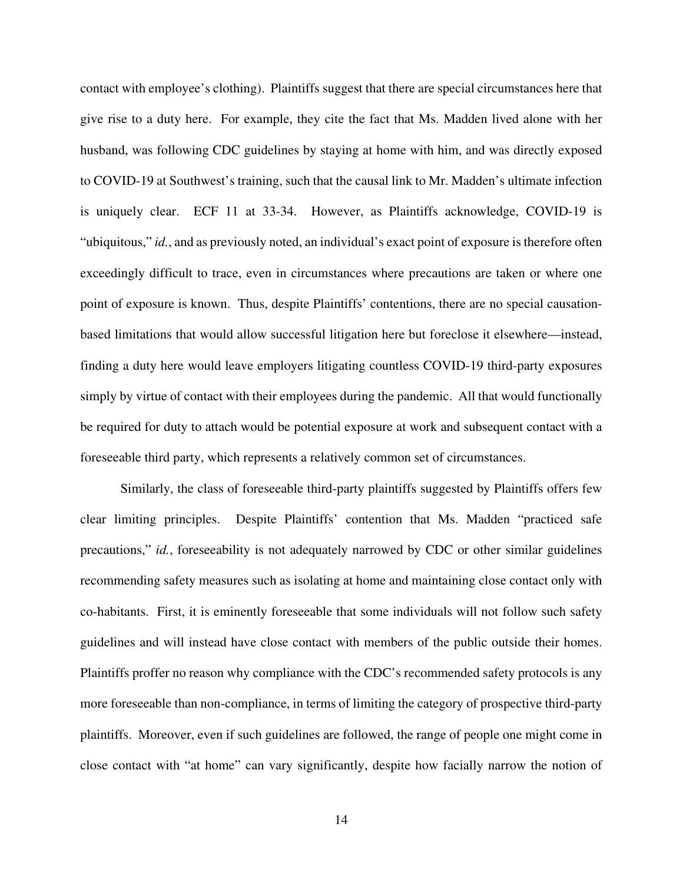contact with employee's clothing). Plaintiffs suggest that there are special circumstances here that give rise to a duty here. For example, they cite the fact that Ms. Madden lived alone with her husband, was following CDC guidelines by staying at home with him, and was directly exposed to COVID-19 at Southwest's training, such that the causal link to Mr. Madden's ultimate infection is uniquely clear. ECF 11 at 33-34. However, as Plaintiffs acknowledge, COVID-19 is "ubiquitous," *id.*, and as previously noted, an individual's exact point of exposure is therefore often exceedingly difficult to trace, even in circumstances where precautions are taken or where one point of exposure is known. Thus, despite Plaintiffs' contentions, there are no special causationbased limitations that would allow successful litigation here but foreclose it elsewhere—instead, finding a duty here would leave employers litigating countless COVID-19 third-party exposures simply by virtue of contact with their employees during the pandemic. All that would functionally be required for duty to attach would be potential exposure at work and subsequent contact with a foreseeable third party, which represents a relatively common set of circumstances.

Similarly, the class of foreseeable third-party plaintiffs suggested by Plaintiffs offers few clear limiting principles. Despite Plaintiffs' contention that Ms. Madden "practiced safe precautions," *id.*, foreseeability is not adequately narrowed by CDC or other similar guidelines recommending safety measures such as isolating at home and maintaining close contact only with co-habitants. First, it is eminently foreseeable that some individuals will not follow such safety guidelines and will instead have close contact with members of the public outside their homes. Plaintiffs proffer no reason why compliance with the CDC's recommended safety protocols is any more foreseeable than non-compliance, in terms of limiting the category of prospective third-party plaintiffs. Moreover, even if such guidelines are followed, the range of people one might come in close contact with "at home" can vary significantly, despite how facially narrow the notion of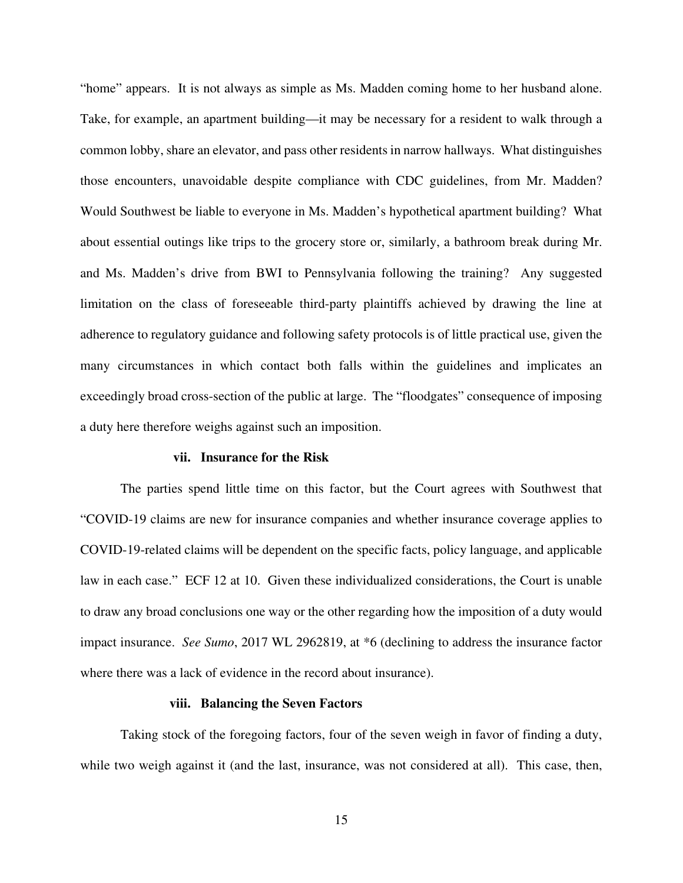"home" appears. It is not always as simple as Ms. Madden coming home to her husband alone. Take, for example, an apartment building—it may be necessary for a resident to walk through a common lobby, share an elevator, and pass other residents in narrow hallways. What distinguishes those encounters, unavoidable despite compliance with CDC guidelines, from Mr. Madden? Would Southwest be liable to everyone in Ms. Madden's hypothetical apartment building? What about essential outings like trips to the grocery store or, similarly, a bathroom break during Mr. and Ms. Madden's drive from BWI to Pennsylvania following the training? Any suggested limitation on the class of foreseeable third-party plaintiffs achieved by drawing the line at adherence to regulatory guidance and following safety protocols is of little practical use, given the many circumstances in which contact both falls within the guidelines and implicates an exceedingly broad cross-section of the public at large. The "floodgates" consequence of imposing a duty here therefore weighs against such an imposition.

#### **vii. Insurance for the Risk**

The parties spend little time on this factor, but the Court agrees with Southwest that "COVID-19 claims are new for insurance companies and whether insurance coverage applies to COVID-19-related claims will be dependent on the specific facts, policy language, and applicable law in each case." ECF 12 at 10. Given these individualized considerations, the Court is unable to draw any broad conclusions one way or the other regarding how the imposition of a duty would impact insurance. *See Sumo*, 2017 WL 2962819, at \*6 (declining to address the insurance factor where there was a lack of evidence in the record about insurance).

#### **viii. Balancing the Seven Factors**

Taking stock of the foregoing factors, four of the seven weigh in favor of finding a duty, while two weigh against it (and the last, insurance, was not considered at all). This case, then,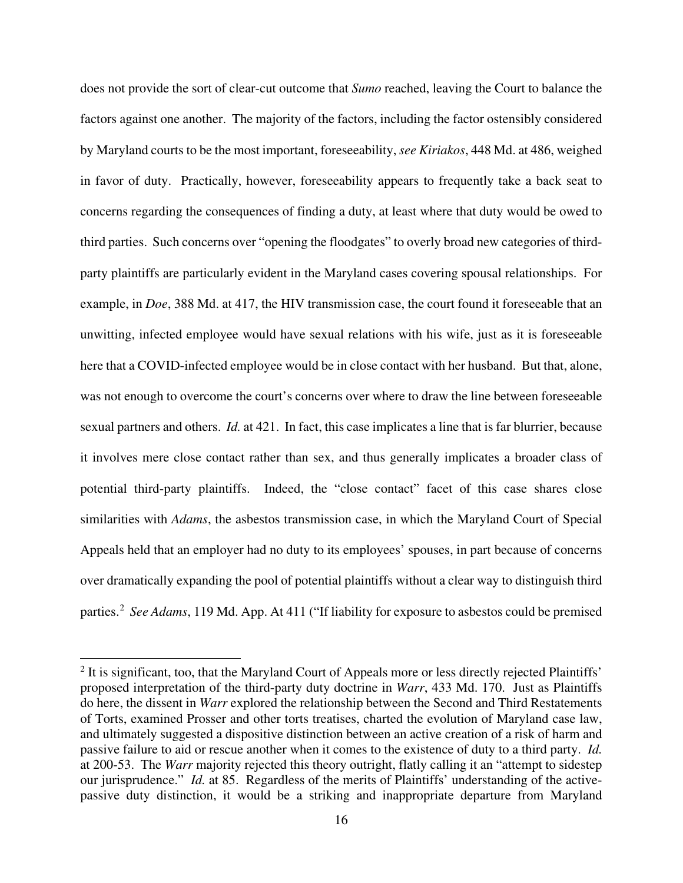does not provide the sort of clear-cut outcome that *Sumo* reached, leaving the Court to balance the factors against one another. The majority of the factors, including the factor ostensibly considered by Maryland courts to be the most important, foreseeability, *see Kiriakos*, 448 Md. at 486, weighed in favor of duty. Practically, however, foreseeability appears to frequently take a back seat to concerns regarding the consequences of finding a duty, at least where that duty would be owed to third parties. Such concerns over "opening the floodgates" to overly broad new categories of thirdparty plaintiffs are particularly evident in the Maryland cases covering spousal relationships. For example, in *Doe*, 388 Md. at 417, the HIV transmission case, the court found it foreseeable that an unwitting, infected employee would have sexual relations with his wife, just as it is foreseeable here that a COVID-infected employee would be in close contact with her husband. But that, alone, was not enough to overcome the court's concerns over where to draw the line between foreseeable sexual partners and others. *Id.* at 421. In fact, this case implicates a line that is far blurrier, because it involves mere close contact rather than sex, and thus generally implicates a broader class of potential third-party plaintiffs. Indeed, the "close contact" facet of this case shares close similarities with *Adams*, the asbestos transmission case, in which the Maryland Court of Special Appeals held that an employer had no duty to its employees' spouses, in part because of concerns over dramatically expanding the pool of potential plaintiffs without a clear way to distinguish third parties.<sup>[2](#page-15-0)</sup> See Adams, 119 Md. App. At 411 ("If liability for exposure to asbestos could be premised

<span id="page-15-0"></span><sup>&</sup>lt;sup>2</sup> It is significant, too, that the Maryland Court of Appeals more or less directly rejected Plaintiffs' proposed interpretation of the third-party duty doctrine in *Warr*, 433 Md. 170. Just as Plaintiffs do here, the dissent in *Warr* explored the relationship between the Second and Third Restatements of Torts, examined Prosser and other torts treatises, charted the evolution of Maryland case law, and ultimately suggested a dispositive distinction between an active creation of a risk of harm and passive failure to aid or rescue another when it comes to the existence of duty to a third party. *Id.* at 200-53. The *Warr* majority rejected this theory outright, flatly calling it an "attempt to sidestep our jurisprudence." *Id.* at 85. Regardless of the merits of Plaintiffs' understanding of the activepassive duty distinction, it would be a striking and inappropriate departure from Maryland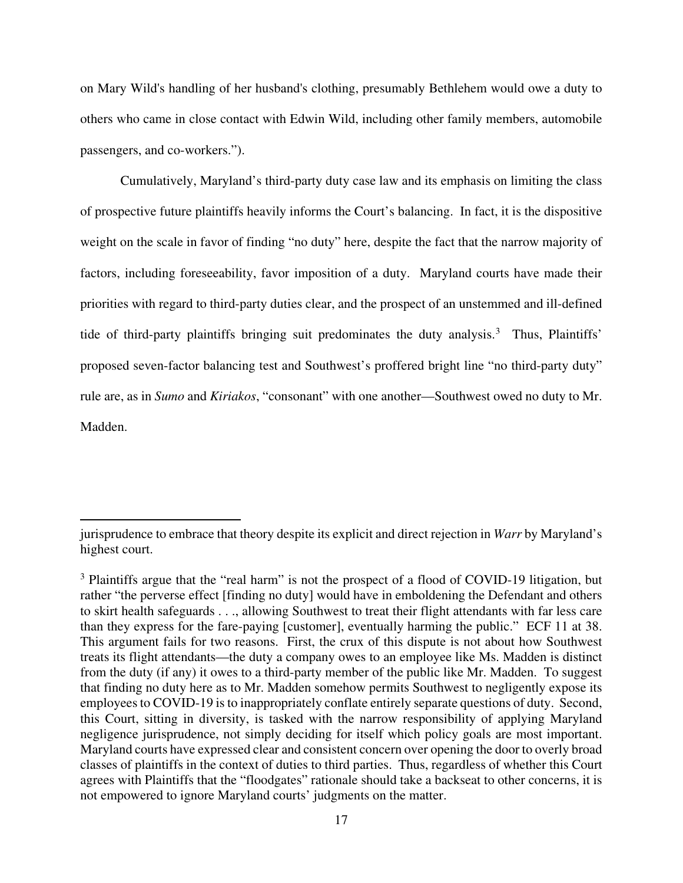on Mary Wild's handling of her husband's clothing, presumably Bethlehem would owe a duty to others who came in close contact with Edwin Wild, including other family members, automobile passengers, and co-workers.").

Cumulatively, Maryland's third-party duty case law and its emphasis on limiting the class of prospective future plaintiffs heavily informs the Court's balancing. In fact, it is the dispositive weight on the scale in favor of finding "no duty" here, despite the fact that the narrow majority of factors, including foreseeability, favor imposition of a duty. Maryland courts have made their priorities with regard to third-party duties clear, and the prospect of an unstemmed and ill-defined tide of third-party plaintiffs bringing suit predominates the duty analysis.<sup>[3](#page-16-0)</sup> Thus, Plaintiffs' proposed seven-factor balancing test and Southwest's proffered bright line "no third-party duty" rule are, as in *Sumo* and *Kiriakos*, "consonant" with one another—Southwest owed no duty to Mr. Madden.

jurisprudence to embrace that theory despite its explicit and direct rejection in *Warr* by Maryland's highest court.

<span id="page-16-0"></span><sup>&</sup>lt;sup>3</sup> Plaintiffs argue that the "real harm" is not the prospect of a flood of COVID-19 litigation, but rather "the perverse effect [finding no duty] would have in emboldening the Defendant and others to skirt health safeguards . . ., allowing Southwest to treat their flight attendants with far less care than they express for the fare-paying [customer], eventually harming the public." ECF 11 at 38. This argument fails for two reasons. First, the crux of this dispute is not about how Southwest treats its flight attendants—the duty a company owes to an employee like Ms. Madden is distinct from the duty (if any) it owes to a third-party member of the public like Mr. Madden. To suggest that finding no duty here as to Mr. Madden somehow permits Southwest to negligently expose its employees to COVID-19 is to inappropriately conflate entirely separate questions of duty. Second, this Court, sitting in diversity, is tasked with the narrow responsibility of applying Maryland negligence jurisprudence, not simply deciding for itself which policy goals are most important. Maryland courts have expressed clear and consistent concern over opening the door to overly broad classes of plaintiffs in the context of duties to third parties. Thus, regardless of whether this Court agrees with Plaintiffs that the "floodgates" rationale should take a backseat to other concerns, it is not empowered to ignore Maryland courts' judgments on the matter.